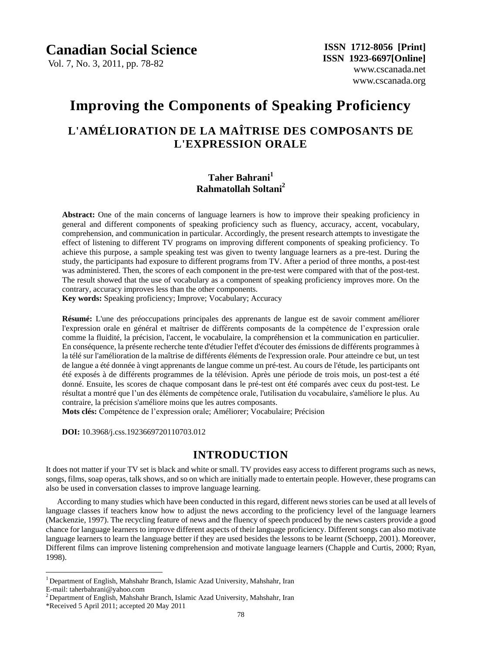Vol. 7, No. 3, 2011, pp. 78-82

# **Improving the Components of Speaking Proficiency**

# **L'AMÉLIORATION DE LA MAÎTRISE DES COMPOSANTS DE L'EXPRESSION ORALE**

# **Taher Bahrani<sup>1</sup> Rahmatollah Soltani<sup>2</sup>**

Abstract: One of the main concerns of language learners is how to improve their speaking proficiency in general and different components of speaking proficiency such as fluency, accuracy, accent, vocabulary, comprehension, and communication in particular. Accordingly, the present research attempts to investigate the effect of listening to different TV programs on improving different components of speaking proficiency. To achieve this purpose, a sample speaking test was given to twenty language learners as a pre-test. During the study, the participants had exposure to different programs from TV. After a period of three months, a post-test was administered. Then, the scores of each component in the pre-test were compared with that of the post-test. The result showed that the use of vocabulary as a component of speaking proficiency improves more. On the contrary, accuracy improves less than the other components.

**Key words:** Speaking proficiency; Improve; Vocabulary; Accuracy

**Résumé:** L'une des préoccupations principales des apprenants de langue est de savoir comment améliorer l'expression orale en général et maîtriser de différents composants de la compétence de l'expression orale comme la fluidité, la précision, l'accent, le vocabulaire, la compréhension et la communication en particulier. En conséquence, la présente recherche tente d'étudier l'effet d'écouter des émissions de différents programmes à la télé sur l'amélioration de la maîtrise de différents éléments de l'expression orale. Pour atteindre ce but, un test de langue a été donnée à vingt apprenants de langue comme un pré-test. Au cours de l'étude, les participants ont été exposés à de différents programmes de la télévision. Après une période de trois mois, un post-test a été donné. Ensuite, les scores de chaque composant dans le pré-test ont été comparés avec ceux du post-test. Le résultat a montré que l'un des éléments de compétence orale, l'utilisation du vocabulaire, s'améliore le plus. Au contraire, la précision s'améliore moins que les autres composants.

Mots cl és: Compétence de l'expression orale; Ameliorer; Vocabulaire; Précision

**DOI:** 10.3968/j.css.1923669720110703.012

# **INTRODUCTION**

It does not matter if your TV set is black and white or small. TV provides easy access to different programs such as news, songs, films, soap operas, talk shows, and so on which are initially made to entertain people. However, these programs can also be used in conversation classes to improve language learning.

According to many studies which have been conducted in this regard, different news stories can be used at all levels of language classes if teachers know how to adjust the news according to the proficiency level of the language learners (Mackenzie, 1997). The recycling feature of news and the fluency of speech produced by the news casters provide a good chance for language learners to improve different aspects of their language proficiency. Different songs can also motivate language learners to learn the language better if they are used besides the lessons to be learnt (Schoepp, 2001). Moreover, Different films can improve listening comprehension and motivate language learners (Chapple and Curtis, 2000; Ryan, 1998).

 $\overline{a}$ 

<sup>1</sup> Department of English, Mahshahr Branch, Islamic Azad University, Mahshahr, Iran

E-mail: taherbahrani@yahoo.com

<sup>&</sup>lt;sup>2</sup> Department of English, Mahshahr Branch, Islamic Azad University, Mahshahr, Iran

<sup>\*</sup>Received 5 April 2011; accepted 20 May 2011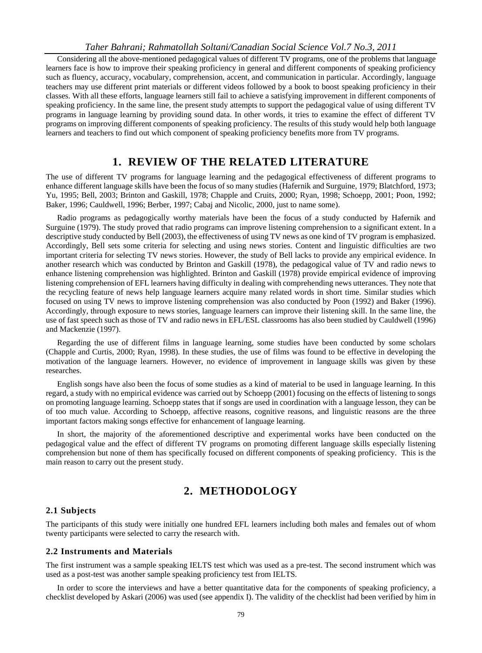Considering all the above-mentioned pedagogical values of different TV programs, one of the problems that language learners face is how to improve their speaking proficiency in general and different components of speaking proficiency such as fluency, accuracy, vocabulary, comprehension, accent, and communication in particular. Accordingly, language teachers may use different print materials or different videos followed by a book to boost speaking proficiency in their classes. With all these efforts, language learners still fail to achieve a satisfying improvement in different components of speaking proficiency. In the same line, the present study attempts to support the pedagogical value of using different TV programs in language learning by providing sound data. In other words, it tries to examine the effect of different TV programs on improving different components of speaking proficiency. The results of this study would help both language learners and teachers to find out which component of speaking proficiency benefits more from TV programs.

# **1. REVIEW OF THE RELATED LITERATURE**

The use of different TV programs for language learning and the pedagogical effectiveness of different programs to enhance different language skills have been the focus of so many studies (Hafernik and Surguine, 1979; Blatchford, 1973; Yu, 1995; Bell, 2003; Brinton and Gaskill, 1978; Chapple and Cruits, 2000; Ryan, 1998; Schoepp, 2001; Poon, 1992; Baker, 1996; Cauldwell, 1996; Berber, 1997; Cabaj and Nicolic, 2000, just to name some).

Radio programs as pedagogically worthy materials have been the focus of a study conducted by Hafernik and Surguine (1979). The study proved that radio programs can improve listening comprehension to a significant extent. In a descriptive study conducted by Bell (2003), the effectiveness of using TV news as one kind of TV program is emphasized. Accordingly, Bell sets some criteria for selecting and using news stories. Content and linguistic difficulties are two important criteria for selecting TV news stories. However, the study of Bell lacks to provide any empirical evidence. In another research which was conducted by Brinton and Gaskill (1978), the pedagogical value of TV and radio news to enhance listening comprehension was highlighted. Brinton and Gaskill (1978) provide empirical evidence of improving listening comprehension of EFL learners having difficulty in dealing with comprehending news utterances. They note that the recycling feature of news help language learners acquire many related words in short time. Similar studies which focused on using TV news to improve listening comprehension was also conducted by Poon (1992) and Baker (1996). Accordingly, through exposure to news stories, language learners can improve their listening skill. In the same line, the use of fast speech such as those of TV and radio news in EFL/ESL classrooms has also been studied by Cauldwell (1996) and Mackenzie (1997).

Regarding the use of different films in language learning, some studies have been conducted by some scholars (Chapple and Curtis, 2000; Ryan, 1998). In these studies, the use of films was found to be effective in developing the motivation of the language learners. However, no evidence of improvement in language skills was given by these researches.

English songs have also been the focus of some studies as a kind of material to be used in language learning. In this regard, a study with no empirical evidence was carried out by Schoepp (2001) focusing on the effects of listening to songs on promoting language learning. Schoepp states that if songs are used in coordination with a language lesson, they can be of too much value. According to Schoepp, affective reasons, cognitive reasons, and linguistic reasons are the three important factors making songs effective for enhancement of language learning.

In short, the majority of the aforementioned descriptive and experimental works have been conducted on the pedagogical value and the effect of different TV programs on promoting different language skills especially listening comprehension but none of them has specifically focused on different components of speaking proficiency. This is the main reason to carry out the present study.

# **2. METHODOLOGY**

### **2.1 Subjects**

The participants of this study were initially one hundred EFL learners including both males and females out of whom twenty participants were selected to carry the research with.

## **2.2 Instruments and Materials**

The first instrument was a sample speaking IELTS test which was used as a pre-test. The second instrument which was used as a post-test was another sample speaking proficiency test from IELTS.

In order to score the interviews and have a better quantitative data for the components of speaking proficiency, a checklist developed by Askari (2006) was used (see appendix I). The validity of the checklist had been verified by him in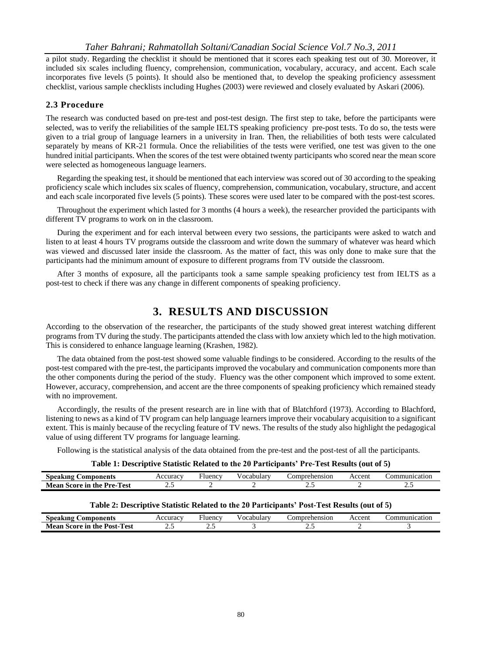a pilot study. Regarding the checklist it should be mentioned that it scores each speaking test out of 30. Moreover, it included six scales including fluency, comprehension, communication, vocabulary, accuracy, and accent. Each scale incorporates five levels (5 points). It should also be mentioned that, to develop the speaking proficiency assessment checklist, various sample checklists including Hughes (2003) were reviewed and closely evaluated by Askari (2006).

## **2.3 Procedure**

The research was conducted based on pre-test and post-test design. The first step to take, before the participants were selected, was to verify the reliabilities of the sample IELTS speaking proficiency pre-post tests. To do so, the tests were given to a trial group of language learners in a university in Iran. Then, the reliabilities of both tests were calculated separately by means of KR-21 formula. Once the reliabilities of the tests were verified, one test was given to the one hundred initial participants. When the scores of the test were obtained twenty participants who scored near the mean score were selected as homogeneous language learners.

Regarding the speaking test, it should be mentioned that each interview was scored out of 30 according to the speaking proficiency scale which includes six scales of fluency, comprehension, communication, vocabulary, structure, and accent and each scale incorporated five levels (5 points). These scores were used later to be compared with the post-test scores.

Throughout the experiment which lasted for 3 months (4 hours a week), the researcher provided the participants with different TV programs to work on in the classroom.

During the experiment and for each interval between every two sessions, the participants were asked to watch and listen to at least 4 hours TV programs outside the classroom and write down the summary of whatever was heard which was viewed and discussed later inside the classroom. As the matter of fact, this was only done to make sure that the participants had the minimum amount of exposure to different programs from TV outside the classroom.

After 3 months of exposure, all the participants took a same sample speaking proficiency test from IELTS as a post-test to check if there was any change in different components of speaking proficiency.

# **3. RESULTS AND DISCUSSION**

According to the observation of the researcher, the participants of the study showed great interest watching different programs from TV during the study. The participants attended the class with low anxiety which led to the high motivation. This is considered to enhance language learning (Krashen, 1982).

The data obtained from the post-test showed some valuable findings to be considered. According to the results of the post-test compared with the pre-test, the participants improved the vocabulary and communication components more than the other components during the period of the study. Fluency was the other component which improved to some extent. However, accuracy, comprehension, and accent are the three components of speaking proficiency which remained steady with no improvement.

Accordingly, the results of the present research are in line with that of Blatchford (1973). According to Blachford, listening to news as a kind of TV program can help language learners improve their vocabulary acquisition to a significant extent. This is mainly because of the recycling feature of TV news. The results of the study also highlight the pedagogical value of using different TV programs for language learning.

Following is the statistical analysis of the data obtained from the pre-test and the post-test of all the participants.

| Table 1: Descriptive Statistic Related to the 20 Participants' Pre-Test Results (out of 5) |  |  |
|--------------------------------------------------------------------------------------------|--|--|
|--------------------------------------------------------------------------------------------|--|--|

| <b>Speaking Components</b>                                                                  | Accuracy | Fluencv | Vocabularv | Comprehension | Accent | Communication |  |
|---------------------------------------------------------------------------------------------|----------|---------|------------|---------------|--------|---------------|--|
| <b>Mean Score in the Pre-Test</b>                                                           |          |         |            |               |        |               |  |
|                                                                                             |          |         |            |               |        |               |  |
| Table 2: Descriptive Statistic Related to the 20 Participants' Post-Test Results (out of 5) |          |         |            |               |        |               |  |

| <b>Components</b><br>Snea<br>ıkıng              | curacy<br>৲              | Fluency                  | 0.12<br>vocab <sup>-</sup><br>эшаг | 0.2223333<br>ehension<br>ш | ccent<br>AC | 10r<br>16 |
|-------------------------------------------------|--------------------------|--------------------------|------------------------------------|----------------------------|-------------|-----------|
| m<br>Post-<br>. the<br>Test<br>Score in<br>Mean | $\overline{\phantom{m}}$ | $\overline{\phantom{m}}$ |                                    | ت ک                        |             |           |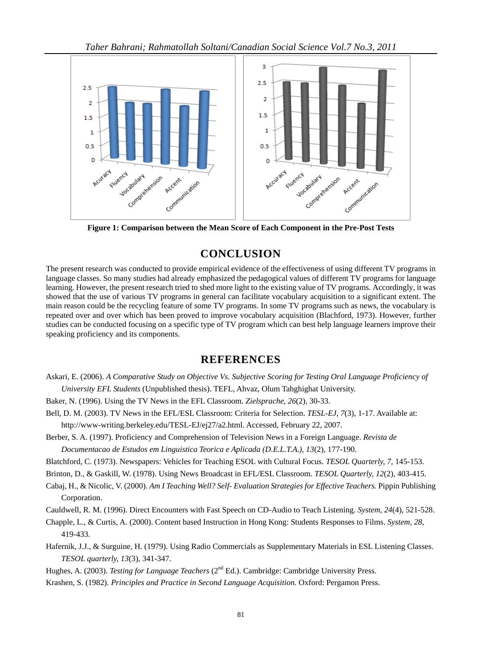

**Figure 1: Comparison between the Mean Score of Each Component in the Pre-Post Tests**

# **CONCLUSION**

The present research was conducted to provide empirical evidence of the effectiveness of using different TV programs in language classes. So many studies had already emphasized the pedagogical values of different TV programs for language learning. However, the present research tried to shed more light to the existing value of TV programs. Accordingly, it was showed that the use of various TV programs in general can facilitate vocabulary acquisition to a significant extent. The main reason could be the recycling feature of some TV programs. In some TV programs such as news, the vocabulary is repeated over and over which has been proved to improve vocabulary acquisition (Blachford, 1973). However, further studies can be conducted focusing on a specific type of TV program which can best help language learners improve their speaking proficiency and its components.

# **REFERENCES**

- Askari, E. (2006). *A Comparative Study on Objective Vs. Subjective Scoring for Testing Oral Language Proficiency of University EFL Students* (Unpublished thesis). TEFL, Ahvaz, Olum Tahghighat University.
- Baker, N. (1996). Using the TV News in the EFL Classroom. *Zielsprache, 26*(2), 30-33.
- Bell, D. M. (2003). TV News in the EFL/ESL Classroom: Criteria for Selection. *TESL-EJ, 7*(3), 1-17. Available at: http://www-writing.berkeley.edu/TESL-EJ/ej27/a2.html. Accessed, February 22, 2007.
- Berber, S. A. (1997). Proficiency and Comprehension of Television News in a Foreign Language. *Revista de Documentacao de Estudos em Linguistica Teorica e Aplicada (D.E.L.T.A.), 13*(2), 177-190.
- Blatchford, C. (1973). Newspapers: Vehicles for Teaching ESOL with Cultural Focus. *TESOL Quarterly, 7*, 145-153.
- Brinton, D., & Gaskill, W. (1978). Using News Broadcast in EFL/ESL Classroom. *TESOL Quarterly, 12*(2), 403-415.
- Cabaj, H., & Nicolic, V. (2000). *Am I Teaching Well? Self- Evaluation Strategies for Effective Teachers.* Pippin Publishing Corporation.
- Cauldwell, R. M. (1996). Direct Encounters with Fast Speech on CD-Audio to Teach Listening. *System, 24*(4), 521-528.
- Chapple, L., & Curtis, A. (2000). Content based Instruction in Hong Kong: Students Responses to Films. *System, 28*, 419-433.
- Hafernik, J.J., & Surguine, H. (1979). Using Radio Commercials as Supplementary Materials in ESL Listening Classes. *TESOL quarterly, 13*(3), 341-347.
- Hughes, A. (2003). *Testing for Language Teachers* (2<sup>nd</sup> Ed.). Cambridge: Cambridge University Press.
- Krashen, S. (1982). *Principles and Practice in Second Language Acquisition.* Oxford: Pergamon Press.